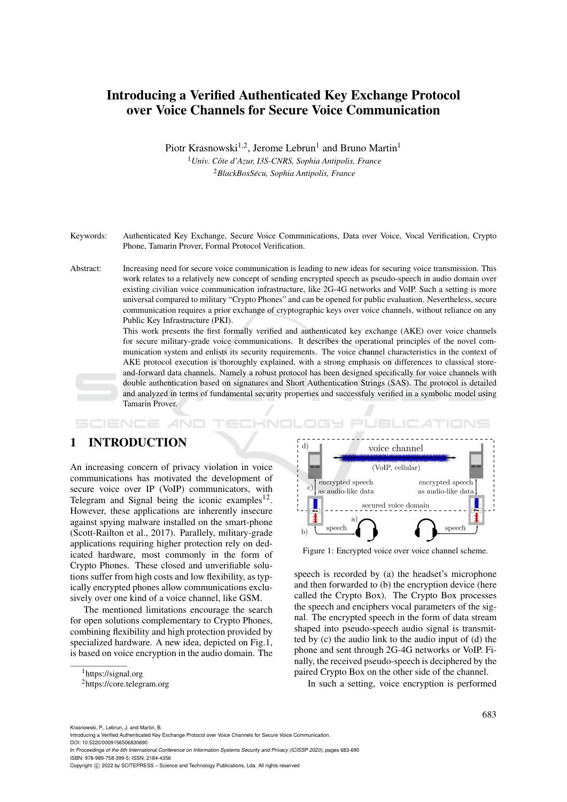# Introducing a Verified Authenticated Key Exchange Protocol over Voice Channels for Secure Voice Communication

Piotr Krasnowski<sup>1,2</sup>, Jerome Lebrun<sup>1</sup> and Bruno Martin<sup>1</sup>

<sup>1</sup>*Univ. Cote d'Azur, I3S-CNRS, Sophia Antipolis, France ˆ* <sup>2</sup>*BlackBoxSecu, Sophia Antipolis, France ´*

Keywords: Authenticated Key Exchange, Secure Voice Communications, Data over Voice, Vocal Verification, Crypto Phone, Tamarin Prover, Formal Protocol Verification.

Abstract: Increasing need for secure voice communication is leading to new ideas for securing voice transmission. This work relates to a relatively new concept of sending encrypted speech as pseudo-speech in audio domain over existing civilian voice communication infrastructure, like 2G-4G networks and VoIP. Such a setting is more universal compared to military "Crypto Phones" and can be opened for public evaluation. Nevertheless, secure communication requires a prior exchange of cryptographic keys over voice channels, without reliance on any Public Key Infrastructure (PKI).

> This work presents the first formally verified and authenticated key exchange (AKE) over voice channels for secure military-grade voice communications. It describes the operational principles of the novel communication system and enlists its security requirements. The voice channel characteristics in the context of AKE protocol execution is thoroughly explained, with a strong emphasis on differences to classical storeand-forward data channels. Namely a robust protocol has been designed specifically for voice channels with double authentication based on signatures and Short Authentication Strings (SAS). The protocol is detailed and analyzed in terms of fundamental security properties and successfuly verified in a symbolic model using Tamarin Prover.

## 1 INTRODUCTION

An increasing concern of privacy violation in voice communications has motivated the development of secure voice over IP (VoIP) communicators, with Telegram and Signal being the iconic examples<sup>12</sup>. However, these applications are inherently insecure against spying malware installed on the smart-phone (Scott-Railton et al., 2017). Parallely, military-grade applications requiring higher protection rely on dedicated hardware, most commonly in the form of Crypto Phones. These closed and unverifiable solutions suffer from high costs and low flexibility, as typically encrypted phones allow communications exclusively over one kind of a voice channel, like GSM.

The mentioned limitations encourage the search for open solutions complementary to Crypto Phones, combining flexibility and high protection provided by specialized hardware. A new idea, depicted on Fig.1, is based on voice encryption in the audio domain. The



Figure 1: Encrypted voice over voice channel scheme.

speech is recorded by (a) the headset's microphone and then forwarded to (b) the encryption device (here called the Crypto Box). The Crypto Box processes the speech and enciphers vocal parameters of the signal. The encrypted speech in the form of data stream shaped into pseudo-speech audio signal is transmitted by (c) the audio link to the audio input of (d) the phone and sent through 2G-4G networks or VoIP. Finally, the received pseudo-speech is deciphered by the paired Crypto Box on the other side of the channel.

In such a setting, voice encryption is performed

Krasnowski, P., Lebrun, J. and Martin, B.

In *Proceedings of the 6th International Conference on Information Systems Security and Privacy (ICISSP 2020)*, pages 683-690 ISBN: 978-989-758-399-5; ISSN: 2184-4356

<sup>&</sup>lt;sup>1</sup>https://signal.org

<sup>2</sup>https://core.telegram.org

Introducing a Verified Authenticated Key Exchange Protocol over Voice Channels for Secure Voice Communication. DOI: 10.5220/0009156506830690

Copyright (C) 2022 by SCITEPRESS - Science and Technology Publications, Lda. All rights reserved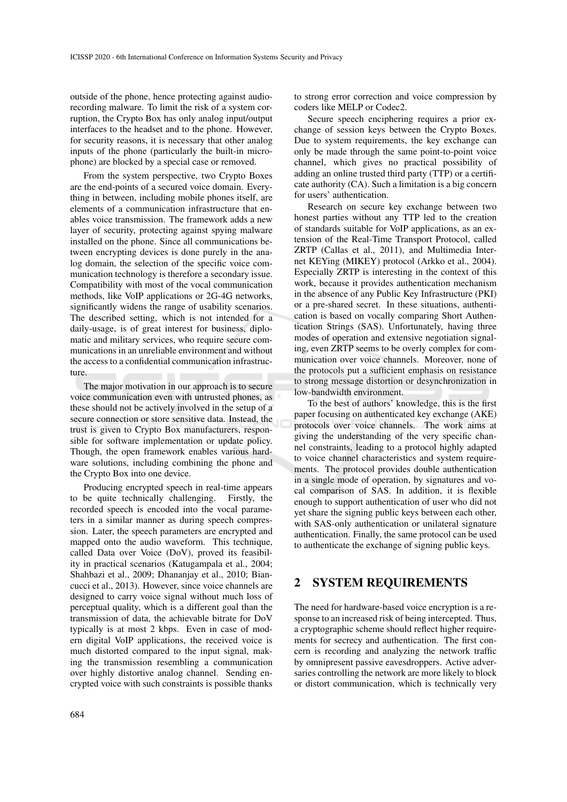outside of the phone, hence protecting against audiorecording malware. To limit the risk of a system corruption, the Crypto Box has only analog input/output interfaces to the headset and to the phone. However, for security reasons, it is necessary that other analog inputs of the phone (particularly the built-in microphone) are blocked by a special case or removed.

From the system perspective, two Crypto Boxes are the end-points of a secured voice domain. Everything in between, including mobile phones itself, are elements of a communication infrastructure that enables voice transmission. The framework adds a new layer of security, protecting against spying malware installed on the phone. Since all communications between encrypting devices is done purely in the analog domain, the selection of the specific voice communication technology is therefore a secondary issue. Compatibility with most of the vocal communication methods, like VoIP applications or 2G-4G networks, significantly widens the range of usability scenarios. The described setting, which is not intended for a daily-usage, is of great interest for business, diplomatic and military services, who require secure communications in an unreliable environment and without the access to a confidential communication infrastructure.

The major motivation in our approach is to secure voice communication even with untrusted phones, as these should not be actively involved in the setup of a secure connection or store sensitive data. Instead, the trust is given to Crypto Box manufacturers, responsible for software implementation or update policy. Though, the open framework enables various hardware solutions, including combining the phone and the Crypto Box into one device.

Producing encrypted speech in real-time appears to be quite technically challenging. Firstly, the recorded speech is encoded into the vocal parameters in a similar manner as during speech compression. Later, the speech parameters are encrypted and mapped onto the audio waveform. This technique, called Data over Voice (DoV), proved its feasibility in practical scenarios (Katugampala et al., 2004; Shahbazi et al., 2009; Dhananjay et al., 2010; Biancucci et al., 2013). However, since voice channels are designed to carry voice signal without much loss of perceptual quality, which is a different goal than the transmission of data, the achievable bitrate for DoV typically is at most 2 kbps. Even in case of modern digital VoIP applications, the received voice is much distorted compared to the input signal, making the transmission resembling a communication over highly distortive analog channel. Sending encrypted voice with such constraints is possible thanks

to strong error correction and voice compression by coders like MELP or Codec2.

Secure speech enciphering requires a prior exchange of session keys between the Crypto Boxes. Due to system requirements, the key exchange can only be made through the same point-to-point voice channel, which gives no practical possibility of adding an online trusted third party (TTP) or a certificate authority (CA). Such a limitation is a big concern for users' authentication.

Research on secure key exchange between two honest parties without any TTP led to the creation of standards suitable for VoIP applications, as an extension of the Real-Time Transport Protocol, called ZRTP (Callas et al., 2011), and Multimedia Internet KEYing (MIKEY) protocol (Arkko et al., 2004). Especially ZRTP is interesting in the context of this work, because it provides authentication mechanism in the absence of any Public Key Infrastructure (PKI) or a pre-shared secret. In these situations, authentication is based on vocally comparing Short Authentication Strings (SAS). Unfortunately, having three modes of operation and extensive negotiation signaling, even ZRTP seems to be overly complex for communication over voice channels. Moreover, none of the protocols put a sufficient emphasis on resistance to strong message distortion or desynchronization in low-bandwidth environment.

To the best of authors' knowledge, this is the first paper focusing on authenticated key exchange (AKE) protocols over voice channels. The work aims at giving the understanding of the very specific channel constraints, leading to a protocol highly adapted to voice channel characteristics and system requirements. The protocol provides double authentication in a single mode of operation, by signatures and vocal comparison of SAS. In addition, it is flexible enough to support authentication of user who did not yet share the signing public keys between each other, with SAS-only authentication or unilateral signature authentication. Finally, the same protocol can be used to authenticate the exchange of signing public keys.

### 2 SYSTEM REQUIREMENTS

The need for hardware-based voice encryption is a response to an increased risk of being intercepted. Thus, a cryptographic scheme should reflect higher requirements for secrecy and authentication. The first concern is recording and analyzing the network traffic by omnipresent passive eavesdroppers. Active adversaries controlling the network are more likely to block or distort communication, which is technically very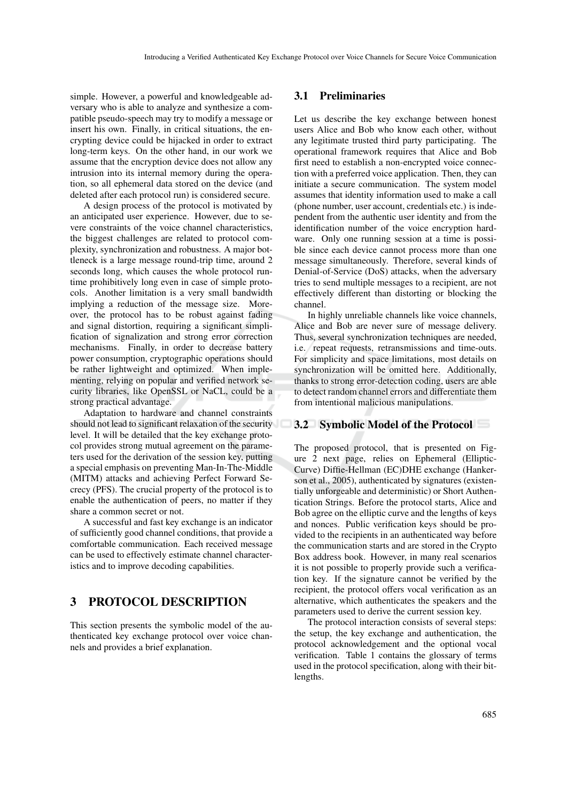simple. However, a powerful and knowledgeable adversary who is able to analyze and synthesize a compatible pseudo-speech may try to modify a message or insert his own. Finally, in critical situations, the encrypting device could be hijacked in order to extract long-term keys. On the other hand, in our work we assume that the encryption device does not allow any intrusion into its internal memory during the operation, so all ephemeral data stored on the device (and deleted after each protocol run) is considered secure.

A design process of the protocol is motivated by an anticipated user experience. However, due to severe constraints of the voice channel characteristics, the biggest challenges are related to protocol complexity, synchronization and robustness. A major bottleneck is a large message round-trip time, around 2 seconds long, which causes the whole protocol runtime prohibitively long even in case of simple protocols. Another limitation is a very small bandwidth implying a reduction of the message size. Moreover, the protocol has to be robust against fading and signal distortion, requiring a significant simplification of signalization and strong error correction mechanisms. Finally, in order to decrease battery power consumption, cryptographic operations should be rather lightweight and optimized. When implementing, relying on popular and verified network security libraries, like OpenSSL or NaCL, could be a strong practical advantage.

Adaptation to hardware and channel constraints should not lead to significant relaxation of the security level. It will be detailed that the key exchange protocol provides strong mutual agreement on the parameters used for the derivation of the session key, putting a special emphasis on preventing Man-In-The-Middle (MITM) attacks and achieving Perfect Forward Secrecy (PFS). The crucial property of the protocol is to enable the authentication of peers, no matter if they share a common secret or not.

A successful and fast key exchange is an indicator of sufficiently good channel conditions, that provide a comfortable communication. Each received message can be used to effectively estimate channel characteristics and to improve decoding capabilities.

## 3 PROTOCOL DESCRIPTION

This section presents the symbolic model of the authenticated key exchange protocol over voice channels and provides a brief explanation.

#### 3.1 Preliminaries

Let us describe the key exchange between honest users Alice and Bob who know each other, without any legitimate trusted third party participating. The operational framework requires that Alice and Bob first need to establish a non-encrypted voice connection with a preferred voice application. Then, they can initiate a secure communication. The system model assumes that identity information used to make a call (phone number, user account, credentials etc.) is independent from the authentic user identity and from the identification number of the voice encryption hardware. Only one running session at a time is possible since each device cannot process more than one message simultaneously. Therefore, several kinds of Denial-of-Service (DoS) attacks, when the adversary tries to send multiple messages to a recipient, are not effectively different than distorting or blocking the channel.

In highly unreliable channels like voice channels, Alice and Bob are never sure of message delivery. Thus, several synchronization techniques are needed, i.e. repeat requests, retransmissions and time-outs. For simplicity and space limitations, most details on synchronization will be omitted here. Additionally, thanks to strong error-detection coding, users are able to detect random channel errors and differentiate them from intentional malicious manipulations.

#### 3.2 Symbolic Model of the Protocol

The proposed protocol, that is presented on Figure 2 next page, relies on Ephemeral (Elliptic-Curve) Diffie-Hellman (EC)DHE exchange (Hankerson et al., 2005), authenticated by signatures (existentially unforgeable and deterministic) or Short Authentication Strings. Before the protocol starts, Alice and Bob agree on the elliptic curve and the lengths of keys and nonces. Public verification keys should be provided to the recipients in an authenticated way before the communication starts and are stored in the Crypto Box address book. However, in many real scenarios it is not possible to properly provide such a verification key. If the signature cannot be verified by the recipient, the protocol offers vocal verification as an alternative, which authenticates the speakers and the parameters used to derive the current session key.

The protocol interaction consists of several steps: the setup, the key exchange and authentication, the protocol acknowledgement and the optional vocal verification. Table 1 contains the glossary of terms used in the protocol specification, along with their bitlengths.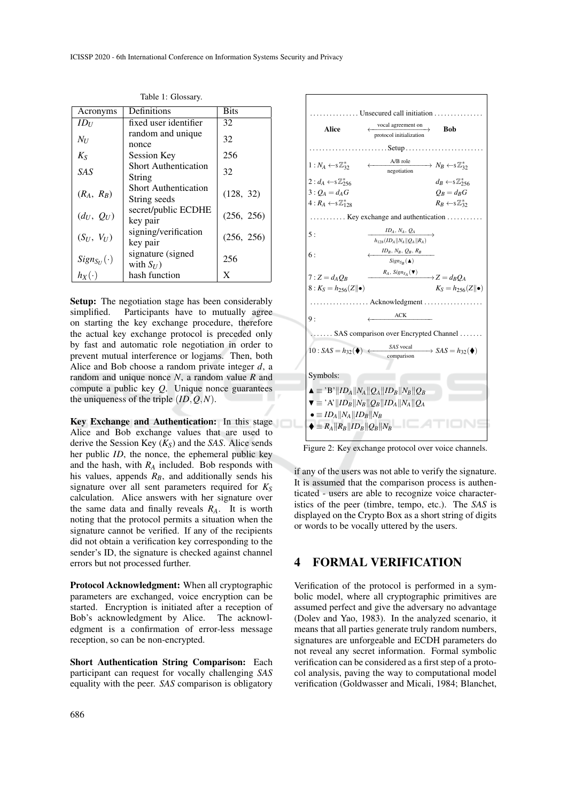| Acronyms               | Definitions                                 | <b>Bits</b> |
|------------------------|---------------------------------------------|-------------|
| $ID_U$                 | fixed user identifier                       | 32          |
| $N_U$                  | random and unique<br>nonce                  | 32          |
| $K_{S}$                | Session Key                                 | 256         |
| <b>SAS</b>             | <b>Short Authentication</b><br>String       | 32          |
| $(R_A, R_B)$           | <b>Short Authentication</b><br>String seeds | (128, 32)   |
| $(d_U, Q_U)$           | secret/public ECDHE<br>key pair             | (256, 256)  |
| $(S_U, V_U)$           | signing/verification<br>key pair            | (256, 256)  |
| $Sign_{S_{II}}(\cdot)$ | signature (signed<br>with $S_{U}$ )         | 256         |
| $h_X(\cdot)$           | hash function                               | X           |

Table 1: Glossary.

Setup: The negotiation stage has been considerably simplified. Participants have to mutually agree on starting the key exchange procedure, therefore the actual key exchange protocol is preceded only by fast and automatic role negotiation in order to prevent mutual interference or logjams. Then, both Alice and Bob choose a random private integer *d*, a random and unique nonce *N*, a random value *R* and compute a public key *Q*. Unique nonce guarantees the uniqueness of the triple (*ID*,*Q*,*N*).

Key Exchange and Authentication: In this stage Alice and Bob exchange values that are used to derive the Session Key (*KS*) and the *SAS*. Alice sends her public *ID*, the nonce, the ephemeral public key and the hash, with  $R_A$  included. Bob responds with his values, appends  $R_B$ , and additionally sends his signature over all sent parameters required for  $K_S$ calculation. Alice answers with her signature over the same data and finally reveals  $R_A$ . It is worth noting that the protocol permits a situation when the signature cannot be verified. If any of the recipients did not obtain a verification key corresponding to the sender's ID, the signature is checked against channel errors but not processed further.

Protocol Acknowledgment: When all cryptographic parameters are exchanged, voice encryption can be started. Encryption is initiated after a reception of Bob's acknowledgment by Alice. The acknowledgment is a confirmation of error-less message reception, so can be non-encrypted.

Short Authentication String Comparison: Each participant can request for vocally challenging *SAS* equality with the peer. *SAS* comparison is obligatory



Figure 2: Key exchange protocol over voice channels.

if any of the users was not able to verify the signature. It is assumed that the comparison process is authenticated - users are able to recognize voice characteristics of the peer (timbre, tempo, etc.). The *SAS* is displayed on the Crypto Box as a short string of digits or words to be vocally uttered by the users.

### 4 FORMAL VERIFICATION

Verification of the protocol is performed in a symbolic model, where all cryptographic primitives are assumed perfect and give the adversary no advantage (Dolev and Yao, 1983). In the analyzed scenario, it means that all parties generate truly random numbers, signatures are unforgeable and ECDH parameters do not reveal any secret information. Formal symbolic verification can be considered as a first step of a protocol analysis, paving the way to computational model verification (Goldwasser and Micali, 1984; Blanchet,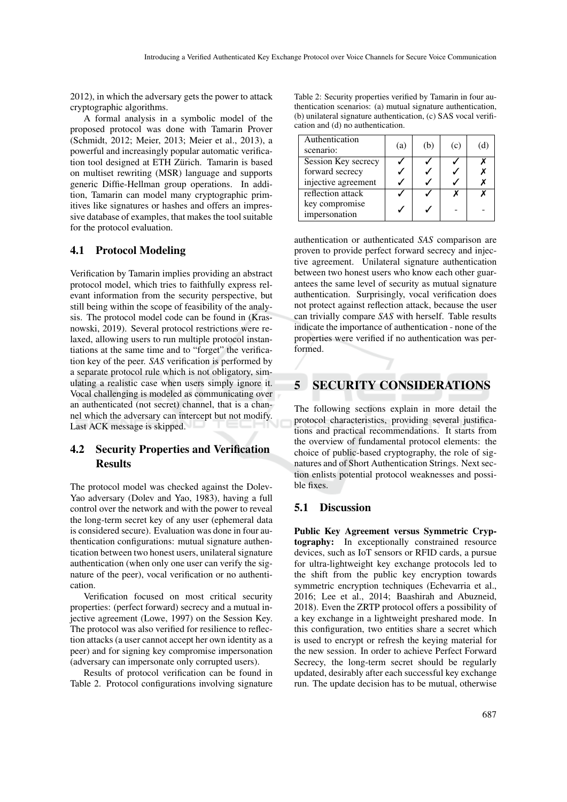2012), in which the adversary gets the power to attack cryptographic algorithms.

A formal analysis in a symbolic model of the proposed protocol was done with Tamarin Prover (Schmidt, 2012; Meier, 2013; Meier et al., 2013), a powerful and increasingly popular automatic verification tool designed at ETH Zürich. Tamarin is based on multiset rewriting (MSR) language and supports generic Diffie-Hellman group operations. In addition, Tamarin can model many cryptographic primitives like signatures or hashes and offers an impressive database of examples, that makes the tool suitable for the protocol evaluation.

#### 4.1 Protocol Modeling

Verification by Tamarin implies providing an abstract protocol model, which tries to faithfully express relevant information from the security perspective, but still being within the scope of feasibility of the analysis. The protocol model code can be found in (Krasnowski, 2019). Several protocol restrictions were relaxed, allowing users to run multiple protocol instantiations at the same time and to "forget" the verification key of the peer. *SAS* verification is performed by a separate protocol rule which is not obligatory, simulating a realistic case when users simply ignore it. Vocal challenging is modeled as communicating over an authenticated (not secret) channel, that is a channel which the adversary can intercept but not modify. Last ACK message is skipped.

#### 4.2 Security Properties and Verification **Results**

The protocol model was checked against the Dolev-Yao adversary (Dolev and Yao, 1983), having a full control over the network and with the power to reveal the long-term secret key of any user (ephemeral data is considered secure). Evaluation was done in four authentication configurations: mutual signature authentication between two honest users, unilateral signature authentication (when only one user can verify the signature of the peer), vocal verification or no authentication.

Verification focused on most critical security properties: (perfect forward) secrecy and a mutual injective agreement (Lowe, 1997) on the Session Key. The protocol was also verified for resilience to reflection attacks (a user cannot accept her own identity as a peer) and for signing key compromise impersonation (adversary can impersonate only corrupted users).

Results of protocol verification can be found in Table 2. Protocol configurations involving signature

Table 2: Security properties verified by Tamarin in four authentication scenarios: (a) mutual signature authentication, (b) unilateral signature authentication, (c) SAS vocal verification and (d) no authentication.

| Authentication<br>scenario: | (a) | (b) | (c) | (d) |
|-----------------------------|-----|-----|-----|-----|
| Session Key secrecy         |     |     |     |     |
| forward secrecy             |     |     |     |     |
| injective agreement         |     |     |     |     |
| reflection attack           |     |     |     |     |
| key compromise              |     |     |     |     |
| impersonation               |     |     |     |     |

authentication or authenticated *SAS* comparison are proven to provide perfect forward secrecy and injective agreement. Unilateral signature authentication between two honest users who know each other guarantees the same level of security as mutual signature authentication. Surprisingly, vocal verification does not protect against reflection attack, because the user can trivially compare *SAS* with herself. Table results indicate the importance of authentication - none of the properties were verified if no authentication was performed.

## 5 SECURITY CONSIDERATIONS

The following sections explain in more detail the protocol characteristics, providing several justifications and practical recommendations. It starts from the overview of fundamental protocol elements: the choice of public-based cryptography, the role of signatures and of Short Authentication Strings. Next section enlists potential protocol weaknesses and possible fixes.

#### 5.1 Discussion

Public Key Agreement versus Symmetric Cryptography: In exceptionally constrained resource devices, such as IoT sensors or RFID cards, a pursue for ultra-lightweight key exchange protocols led to the shift from the public key encryption towards symmetric encryption techniques (Echevarria et al., 2016; Lee et al., 2014; Baashirah and Abuzneid, 2018). Even the ZRTP protocol offers a possibility of a key exchange in a lightweight preshared mode. In this configuration, two entities share a secret which is used to encrypt or refresh the keying material for the new session. In order to achieve Perfect Forward Secrecy, the long-term secret should be regularly updated, desirably after each successful key exchange run. The update decision has to be mutual, otherwise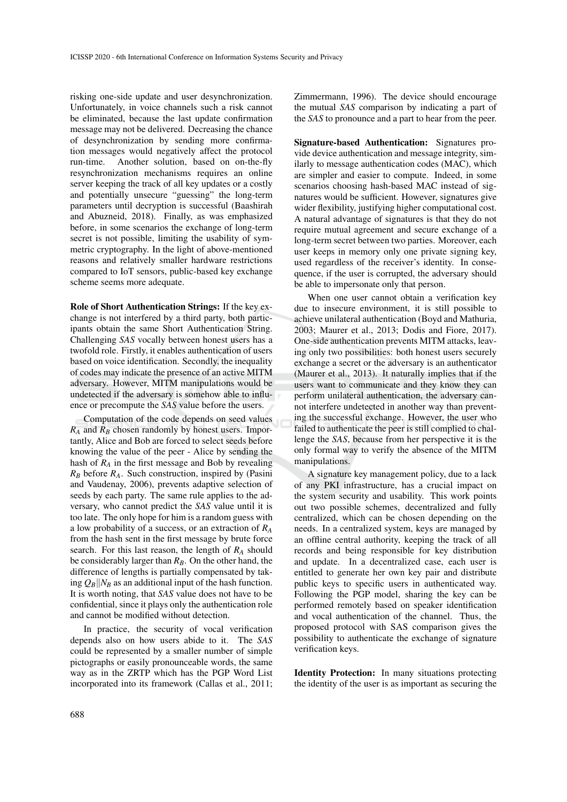risking one-side update and user desynchronization. Unfortunately, in voice channels such a risk cannot be eliminated, because the last update confirmation message may not be delivered. Decreasing the chance of desynchronization by sending more confirmation messages would negatively affect the protocol run-time. Another solution, based on on-the-fly resynchronization mechanisms requires an online server keeping the track of all key updates or a costly and potentially unsecure "guessing" the long-term parameters until decryption is successful (Baashirah and Abuzneid, 2018). Finally, as was emphasized before, in some scenarios the exchange of long-term secret is not possible, limiting the usability of symmetric cryptography. In the light of above-mentioned reasons and relatively smaller hardware restrictions compared to IoT sensors, public-based key exchange scheme seems more adequate.

Role of Short Authentication Strings: If the key exchange is not interfered by a third party, both participants obtain the same Short Authentication String. Challenging *SAS* vocally between honest users has a twofold role. Firstly, it enables authentication of users based on voice identification. Secondly, the inequality of codes may indicate the presence of an active MITM adversary. However, MITM manipulations would be undetected if the adversary is somehow able to influence or precompute the *SAS* value before the users.

Computation of the code depends on seed values *R<sup>A</sup>* and *R<sup>B</sup>* chosen randomly by honest users. Importantly, Alice and Bob are forced to select seeds before knowing the value of the peer - Alice by sending the hash of *R<sup>A</sup>* in the first message and Bob by revealing *R<sup>B</sup>* before *RA*. Such construction, inspired by (Pasini and Vaudenay, 2006), prevents adaptive selection of seeds by each party. The same rule applies to the adversary, who cannot predict the *SAS* value until it is too late. The only hope for him is a random guess with a low probability of a success, or an extraction of *R<sup>A</sup>* from the hash sent in the first message by brute force search. For this last reason, the length of *R<sup>A</sup>* should be considerably larger than *RB*. On the other hand, the difference of lengths is partially compensated by taking  $Q_B||N_B$  as an additional input of the hash function. It is worth noting, that *SAS* value does not have to be confidential, since it plays only the authentication role and cannot be modified without detection.

In practice, the security of vocal verification depends also on how users abide to it. The *SAS* could be represented by a smaller number of simple pictographs or easily pronounceable words, the same way as in the ZRTP which has the PGP Word List incorporated into its framework (Callas et al., 2011; Zimmermann, 1996). The device should encourage the mutual *SAS* comparison by indicating a part of the *SAS* to pronounce and a part to hear from the peer.

Signature-based Authentication: Signatures provide device authentication and message integrity, similarly to message authentication codes (MAC), which are simpler and easier to compute. Indeed, in some scenarios choosing hash-based MAC instead of signatures would be sufficient. However, signatures give wider flexibility, justifying higher computational cost. A natural advantage of signatures is that they do not require mutual agreement and secure exchange of a long-term secret between two parties. Moreover, each user keeps in memory only one private signing key, used regardless of the receiver's identity. In consequence, if the user is corrupted, the adversary should be able to impersonate only that person.

When one user cannot obtain a verification key due to insecure environment, it is still possible to achieve unilateral authentication (Boyd and Mathuria, 2003; Maurer et al., 2013; Dodis and Fiore, 2017). One-side authentication prevents MITM attacks, leaving only two possibilities: both honest users securely exchange a secret or the adversary is an authenticator (Maurer et al., 2013). It naturally implies that if the users want to communicate and they know they can perform unilateral authentication, the adversary cannot interfere undetected in another way than preventing the successful exchange. However, the user who failed to authenticate the peer is still complied to challenge the *SAS*, because from her perspective it is the only formal way to verify the absence of the MITM manipulations.

A signature key management policy, due to a lack of any PKI infrastructure, has a crucial impact on the system security and usability. This work points out two possible schemes, decentralized and fully centralized, which can be chosen depending on the needs. In a centralized system, keys are managed by an offline central authority, keeping the track of all records and being responsible for key distribution and update. In a decentralized case, each user is entitled to generate her own key pair and distribute public keys to specific users in authenticated way. Following the PGP model, sharing the key can be performed remotely based on speaker identification and vocal authentication of the channel. Thus, the proposed protocol with SAS comparison gives the possibility to authenticate the exchange of signature verification keys.

Identity Protection: In many situations protecting the identity of the user is as important as securing the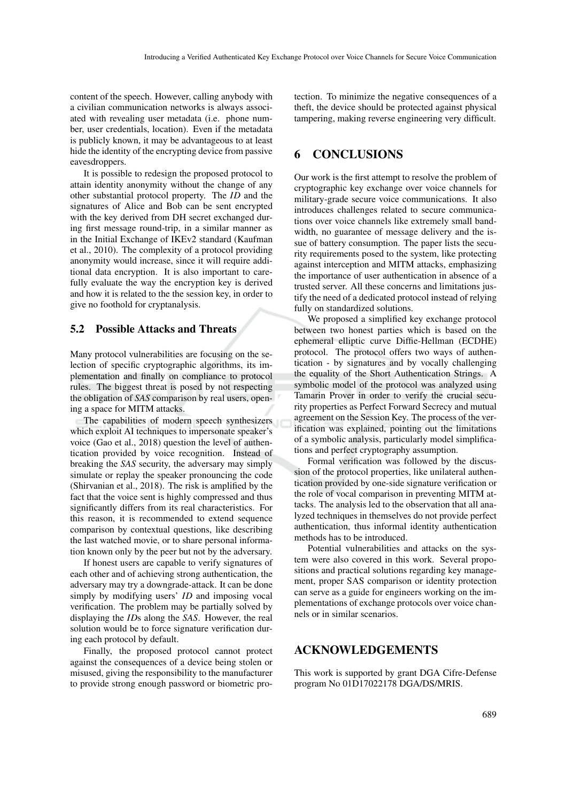content of the speech. However, calling anybody with a civilian communication networks is always associated with revealing user metadata (i.e. phone number, user credentials, location). Even if the metadata is publicly known, it may be advantageous to at least hide the identity of the encrypting device from passive eavesdroppers.

It is possible to redesign the proposed protocol to attain identity anonymity without the change of any other substantial protocol property. The *ID* and the signatures of Alice and Bob can be sent encrypted with the key derived from DH secret exchanged during first message round-trip, in a similar manner as in the Initial Exchange of IKEv2 standard (Kaufman et al., 2010). The complexity of a protocol providing anonymity would increase, since it will require additional data encryption. It is also important to carefully evaluate the way the encryption key is derived and how it is related to the the session key, in order to give no foothold for cryptanalysis.

#### 5.2 Possible Attacks and Threats

Many protocol vulnerabilities are focusing on the selection of specific cryptographic algorithms, its implementation and finally on compliance to protocol rules. The biggest threat is posed by not respecting the obligation of *SAS* comparison by real users, opening a space for MITM attacks.

The capabilities of modern speech synthesizers which exploit AI techniques to impersonate speaker's voice (Gao et al., 2018) question the level of authentication provided by voice recognition. Instead of breaking the *SAS* security, the adversary may simply simulate or replay the speaker pronouncing the code (Shirvanian et al., 2018). The risk is amplified by the fact that the voice sent is highly compressed and thus significantly differs from its real characteristics. For this reason, it is recommended to extend sequence comparison by contextual questions, like describing the last watched movie, or to share personal information known only by the peer but not by the adversary.

If honest users are capable to verify signatures of each other and of achieving strong authentication, the adversary may try a downgrade-attack. It can be done simply by modifying users' *ID* and imposing vocal verification. The problem may be partially solved by displaying the *ID*s along the *SAS*. However, the real solution would be to force signature verification during each protocol by default.

Finally, the proposed protocol cannot protect against the consequences of a device being stolen or misused, giving the responsibility to the manufacturer to provide strong enough password or biometric protection. To minimize the negative consequences of a theft, the device should be protected against physical tampering, making reverse engineering very difficult.

## 6 CONCLUSIONS

Our work is the first attempt to resolve the problem of cryptographic key exchange over voice channels for military-grade secure voice communications. It also introduces challenges related to secure communications over voice channels like extremely small bandwidth, no guarantee of message delivery and the issue of battery consumption. The paper lists the security requirements posed to the system, like protecting against interception and MITM attacks, emphasizing the importance of user authentication in absence of a trusted server. All these concerns and limitations justify the need of a dedicated protocol instead of relying fully on standardized solutions.

We proposed a simplified key exchange protocol between two honest parties which is based on the ephemeral elliptic curve Diffie-Hellman (ECDHE) protocol. The protocol offers two ways of authentication - by signatures and by vocally challenging the equality of the Short Authentication Strings. A symbolic model of the protocol was analyzed using Tamarin Prover in order to verify the crucial security properties as Perfect Forward Secrecy and mutual agreement on the Session Key. The process of the verification was explained, pointing out the limitations of a symbolic analysis, particularly model simplifications and perfect cryptography assumption.

Formal verification was followed by the discussion of the protocol properties, like unilateral authentication provided by one-side signature verification or the role of vocal comparison in preventing MITM attacks. The analysis led to the observation that all analyzed techniques in themselves do not provide perfect authentication, thus informal identity authentication methods has to be introduced.

Potential vulnerabilities and attacks on the system were also covered in this work. Several propositions and practical solutions regarding key management, proper SAS comparison or identity protection can serve as a guide for engineers working on the implementations of exchange protocols over voice channels or in similar scenarios.

### ACKNOWLEDGEMENTS

This work is supported by grant DGA Cifre-Defense program No 01D17022178 DGA/DS/MRIS.